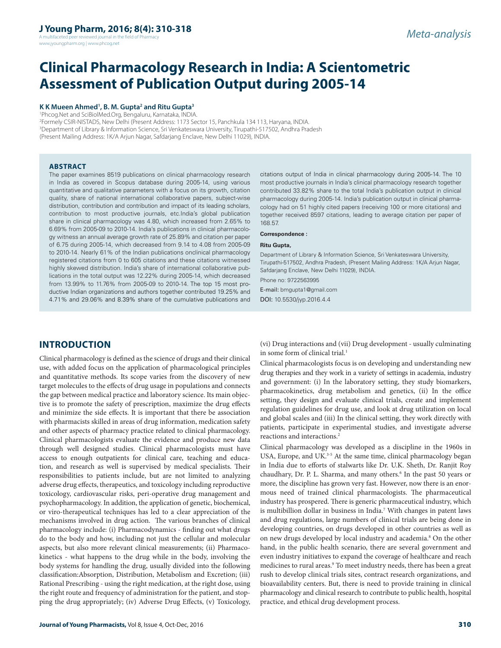A multifaceted peer reviewed journal in the field of Pharm www.jyoungpharm.org | www.phcog.net

# **Clinical Pharmacology Research in India: A Scientometric Assessment of Publication Output during 2005-14**

#### **K K Mueen Ahmed1 , B. M. Gupta2 and Ritu Gupta3**

1 Phcog.Net and SciBiolMed.Org, Bengaluru, Karnataka, INDIA.

2 Formely CSIR-NISTADS, New Delhi (Present Address: 1173 Sector 15, Panchkula 134 113, Haryana, INDIA. 3 Department of Library & Information Science, Sri Venkateswara University, Tirupathi-517502, Andhra Pradesh (Present Mailing Address: 1K/A Arjun Nagar, Safdarjang Enclave, New Delhi 11029), INDIA.

#### **ABSTRACT**

The paper examines 8519 publications on clinical pharmacology research in India as covered in Scopus database during 2005-14, using various quantitative and qualitative parameters with a focus on its growth, citation quality, share of national international collaborative papers, subject-wise distribution, contribution and contribution and impact of its leading scholars, contribution to most productive journals, etc.India's global publication share in clinical pharmacology was 4.80, which increased from 2.65% to 6.69% from 2005-09 to 2010-14. India's publications in clinical pharmacology witness an annual average growth rate of 25.89% and citation per paper of 6.75 during 2005-14, which decreased from 9.14 to 4.08 from 2005-09 to 2010-14. Nearly 61% of the Indian publications onclinical pharmacology registered citations from 0 to 605 citations and these citations witnessed highly skewed distribution. India's share of international collaborative publications in the total output was 12.22% during 2005-14, which decreased from 13.99% to 11.76% from 2005-09 to 2010-14. The top 15 most productive Indian organizations and authors together contributed 19.25% and 4.71% and 29.06% and 8.39% share of the cumulative publications and citations output of India in clinical pharmacology during 2005-14. The 10 most productive journals in India's clinical pharmacology research together contributed 33.82% share to the total India's publication output in clinical pharmacology during 2005-14. India's publication output in clinical pharmacology had on 51 highly cited papers (receiving 100 or more citations) and together received 8597 citations, leading to average citation per paper of 168.57.

#### **Correspondence :**

#### **Ritu Gupta,**

Department of Library & Information Science, Sri Venkateswara University, Tirupathi-517502, Andhra Pradesh, (Present Mailing Address: 1K/A Arjun Nagar, Safdarjang Enclave, New Delhi 11029), INDIA. Phone no: 9722563995

E-mail: bmgupta1@gmail.com

DOI: 10.5530/jyp.2016.4.4

# **INTRODUCTION**

Clinical pharmacology is defined as the science of drugs and their clinical use, with added focus on the application of pharmacological principles and quantitative methods. Its scope varies from the discovery of new target molecules to the effects of drug usage in populations and connects the gap between medical practice and laboratory science. Its main objective is to promote the safety of prescription, maximize the drug effects and minimize the side effects. It is important that there be association with pharmacists skilled in areas of drug information, medication safety and other aspects of pharmacy practice related to clinical pharmacology. Clinical pharmacologists evaluate the evidence and produce new data through well designed studies. Clinical pharmacologists must have access to enough outpatients for clinical care, teaching and education, and research as well is supervised by medical specialists. Their responsibilities to patients include, but are not limited to analyzing adverse drug effects, therapeutics, and toxicology including reproductive toxicology, cardiovascular risks, peri-operative drug management and psychopharmacology. In addition, the application of genetic, biochemical, or viro-therapeutical techniques has led to a clear appreciation of the mechanisms involved in drug action. The various branches of clinical pharmacology include: (i) Pharmacodynamics - finding out what drugs do to the body and how, including not just the cellular and molecular aspects, but also more relevant clinical measurements; (ii) Pharmacokinetics - what happens to the drug while in the body, involving the body systems for handling the drug, usually divided into the following classification:Absorption, Distribution, Metabolism and Excretion; (iii) Rational Prescribing - using the right medication, at the right dose, using the right route and frequency of administration for the patient, and stopping the drug appropriately; (iv) Adverse Drug Effects, (v) Toxicology,

**Journal of Young Pharmacists, Vol 8, Issue 4, Oct-Dec, 2016** 310

(vi) Drug interactions and (vii) Drug development - usually culminating in some form of clinical trial.<sup>1</sup>

Clinical pharmacologists focus is on developing and understanding new drug therapies and they work in a variety of settings in academia, industry and government: (i) In the laboratory setting, they study biomarkers, pharmacokinetics, drug metabolism and genetics, (ii) In the office setting, they design and evaluate clinical trials, create and implement regulation guidelines for drug use, and look at drug utilization on local and global scales and (iii) In the clinical setting, they work directly with patients, participate in experimental studies, and investigate adverse reactions and interactions.2

Clinical pharmacology was developed as a discipline in the 1960s in USA, Europe, and UK.<sup>3-5</sup> At the same time, clinical pharmacology began in India due to efforts of stalwarts like Dr. U.K. Sheth, Dr. Ranjit Roy chaudhary, Dr. P. L. Sharma, and many others.<sup>6</sup> In the past 50 years or more, the discipline has grown very fast. However, now there is an enormous need of trained clinical pharmacologists. The pharmaceutical industry has prospered. There is generic pharmaceutical industry, which is multibillion dollar in business in India.7 With changes in patent laws and drug regulations, large numbers of clinical trials are being done in developing countries, on drugs developed in other countries as well as on new drugs developed by local industry and academia.<sup>8</sup> On the other hand, in the public health scenario, there are several government and even industry initiatives to expand the coverage of healthcare and reach medicines to rural areas.9 To meet industry needs, there has been a great rush to develop clinical trials sites, contract research organizations, and bioavailability centers. But, there is need to provide training in clinical pharmacology and clinical research to contribute to public health, hospital practice, and ethical drug development process.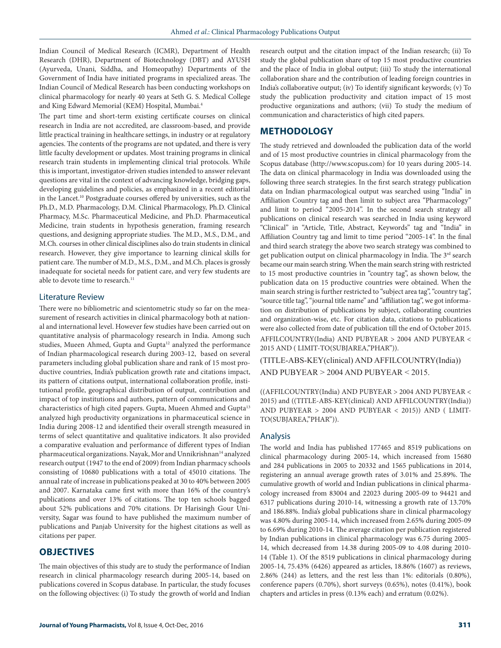Indian Council of Medical Research (ICMR), Department of Health Research (DHR), Department of Biotechnology (DBT) and AYUSH (Ayurveda, Unani, Siddha, and Homeopathy) Departments of the Government of India have initiated programs in specialized areas. The Indian Council of Medical Research has been conducting workshops on clinical pharmacology for nearly 40 years at Seth G. S. Medical College and King Edward Memorial (KEM) Hospital, Mumbai.4

The part time and short-term existing certificate courses on clinical research in India are not accredited, are classroom-based, and provide little practical training in healthcare settings, in industry or at regulatory agencies. The contents of the programs are not updated, and there is very little faculty development or updates. Most training programs in clinical research train students in implementing clinical trial protocols. While this is important, investigator-driven studies intended to answer relevant questions are vital in the context of advancing knowledge, bridging gaps, developing guidelines and policies, as emphasized in a recent editorial in the Lancet.10 Postgraduate courses offered by universities, such as the Ph.D., M.D. Pharmacology, D.M. Clinical Pharmacology, Ph.D. Clinical Pharmacy, M.Sc. Pharmaceutical Medicine, and Ph.D. Pharmaceutical Medicine, train students in hypothesis generation, framing research questions, and designing appropriate studies. The M.D., M.S., D.M., and M.Ch. courses in other clinical disciplines also do train students in clinical research. However, they give importance to learning clinical skills for patient care. The number of M.D., M.S., D.M., and M.Ch. places is grossly inadequate for societal needs for patient care, and very few students are able to devote time to research.<sup>11</sup>

#### Literature Review

There were no bibliometric and scientometric study so far on the measurement of research activities in clinical pharmacology both at national and international level. However few studies have been carried out on quantitative analysis of pharmacology research in India. Among such studies, Mueen Ahmed, Gupta and Gupta<sup>12</sup> analyzed the performance of Indian pharmacological research during 2003-12, based on several parameters including global publication share and rank of 15 most productive countries, India's publication growth rate and citations impact, its pattern of citations output, international collaboration profile, institutional profile, geographical distribution of output, contribution and impact of top institutions and authors, pattern of communications and characteristics of high cited papers. Gupta, Mueen Ahmed and Gupta<sup>13</sup> analyzed high productivity organizations in pharmaceutical science in India during 2008-12 and identified their overall strength measured in terms of select quantitative and qualitative indicators. It also provided a comparative evaluation and performance of different types of Indian pharmaceutical organizations. Nayak, Mor and Unnikrishnan<sup>14</sup> analyzed research output (1947 to the end of 2009) from Indian pharmacy schools consisting of 10680 publications with a total of 45010 citations. The annual rate of increase in publications peaked at 30 to 40% between 2005 and 2007. Karnataka came first with more than 16% of the country's publications and over 13% of citations. The top ten schools bagged about 52% publications and 70% citations. Dr Harisingh Gour University, Sagar was found to have published the maximum number of publications and Panjab University for the highest citations as well as citations per paper.

# **OBJECTIVES**

The main objectives of this study are to study the performance of Indian research in clinical pharmacology research during 2005-14, based on publications covered in Scopus database. In particular, the study focuses on the following objectives: (i) To study the growth of world and Indian

research output and the citation impact of the Indian research; (ii) To study the global publication share of top 15 most productive countries and the place of India in global output; (iii) To study the international collaboration share and the contribution of leading foreign countries in India's collaborative output; (iv) To identify significant keywords; (v) To study the publication productivity and citation impact of 15 most productive organizations and authors; (vii) To study the medium of communication and characteristics of high cited papers.

# **METHODOLOGY**

The study retrieved and downloaded the publication data of the world and of 15 most productive countries in clinical pharmacology from the Scopus database (http://www.scopus.com) for 10 years during 2005-14. The data on clinical pharmacology in India was downloaded using the following three search strategies. In the first search strategy publication data on Indian pharmacological output was searched using "India" in Affiliation Country tag and then limit to subject area "Pharmacology" and limit to period "2005-2014". In the second search strategy all publications on clinical research was searched in India using keyword "Clinical" in "Article, Title, Abstract, Keywords" tag and "India" in Affiliation Country tag and limit to time period "2005-14". In the final and third search strategy the above two search strategy was combined to get publication output on clinical pharmacology in India. The 3<sup>rd</sup> search became our main search string. When the main search string with restricted to 15 most productive countries in "country tag", as shown below, the publication data on 15 productive countries were obtained. When the main search string is further restricted to "subject area tag", "country tag", "source title tag", "journal title name" and "affiliation tag", we got information on distribution of publications by subject, collaborating countries and organization-wise, etc. For citation data, citations to publications were also collected from date of publication till the end of October 2015. AFFILCOUNTRY(India) AND PUBYEAR > 2004 AND PUBYEAR < 2015 AND ( LIMIT-TO(SUBJAREA,"PHAR")).

(TITLE-ABS-KEY(clinical) AND AFFILCOUNTRY(India)) AND PUBYEAR > 2004 AND PUBYEAR < 2015.

((AFFILCOUNTRY(India) AND PUBYEAR > 2004 AND PUBYEAR < 2015) and ((TITLE-ABS-KEY(clinical) AND AFFILCOUNTRY(India)) AND PUBYEAR > 2004 AND PUBYEAR < 2015)) AND ( LIMIT-TO(SUBJAREA,"PHAR")).

#### Analysis

The world and India has published 177465 and 8519 publications on clinical pharmacology during 2005-14, which increased from 15680 and 284 publications in 2005 to 20332 and 1565 publications in 2014, registering an annual average growth rates of 3.01% and 25.89%. The cumulative growth of world and Indian publications in clinical pharmacology increased from 83004 and 22023 during 2005-09 to 94421 and 6317 publications during 2010-14, witnessing a growth rate of 13.70% and 186.88%. India's global publications share in clinical pharmacology was 4.80% during 2005-14, which increased from 2.65% during 2005-09 to 6.69% during 2010-14. The average citation per publication registered by Indian publications in clinical pharmacology was 6.75 during 2005- 14, which decreased from 14.38 during 2005-09 to 4.08 during 2010- 14 (Table 1). Of the 8519 publications in clinical pharmacology during 2005-14, 75.43% (6426) appeared as articles, 18.86% (1607) as reviews, 2.86% (244) as letters, and the rest less than 1%: editorials (0.80%), conference papers (0.70%), short surveys (0.65%), notes (0.41%), book chapters and articles in press (0.13% each) and erratum (0.02%).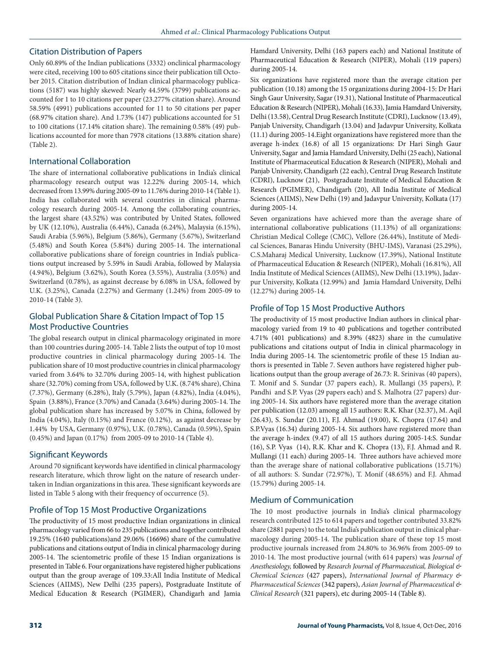# Citation Distribution of Papers

Only 60.89% of the Indian publications (3332) onclinical pharmacology were cited, receiving 100 to 605 citations since their publication till October 2015. Citation distribution of Indian clinical pharmacology publications (5187) was highly skewed: Nearly 44.59% (3799) publications accounted for 1 to 10 citations per paper (23.277% citation share). Around 58.59% (4991) publications accounted for 11 to 50 citations per paper (68.97% citation share). And 1.73% (147) publications accounted for 51 to 100 citations (17.14% citation share). The remaining 0.58% (49) publications accounted for more than 7978 citations (13.88% citation share) (Table 2).

### International Collaboration

The share of international collaborative publications in India's clinical pharmacology research output was 12.22% during 2005-14, which decreased from 13.99% during 2005-09 to 11.76% during 2010-14 (Table 1). India has collaborated with several countries in clinical pharmacology research during 2005-14. Among the collaborating countries, the largest share (43.52%) was contributed by United States, followed by UK (12.10%), Australia (6.44%), Canada (6.24%), Malaysia (6.15%), Saudi Arabia (5.96%), Belgium (5.86%), Germany (5.67%), Switzerland (5.48%) and South Korea (5.84%) during 2005-14. The international collaborative publications share of foreign countries in India's publications output increased by 5.59% in Saudi Arabia, followed by Malaysia (4.94%), Belgium (3.62%), South Korea (3.55%), Australia (3.05%) and Switzerland (0.78%), as against decrease by 6.08% in USA, followed by U.K. (3.25%), Canada (2.27%) and Germany (1.24%) from 2005-09 to 2010-14 (Table 3).

# Global Publication Share & Citation Impact of Top 15 Most Productive Countries

The global research output in clinical pharmacology originated in more than 100 countries during 2005-14. Table 2 lists the output of top 10 most productive countries in clinical pharmacology during 2005-14. The publication share of 10 most productive countries in clinical pharmacology varied from 3.64% to 32.70% during 2005-14, with highest publication share (32.70%) coming from USA, followed by U.K. (8.74% share), China (7.37%), Germany (6.28%), Italy (5.79%), Japan (4.82%), India (4.04%), Spain (3.88%), France (3.70%) and Canada (3.64%) during 2005-14. The global publication share has increased by 5.07% in China, followed by India (4.04%), Italy (0.15%) and France (0.12%), as against decrease by 1.44% by USA, Germany (0.97%), U.K. (0.78%), Canada (0.59%), Spain (0.45%) and Japan (0.17%) from 2005-09 to 2010-14 (Table 4).

# Significant Keywords

Around 70 significant keywords have identified in clinical pharmacology research literature, which throw light on the nature of research undertaken in Indian organizations in this area. These significant keywords are listed in Table 5 along with their frequency of occurrence (5).

# Profile of Top 15 Most Productive Organizations

The productivity of 15 most productive Indian organizations in clinical pharmacology varied from 66 to 235 publications and together contributed 19.25% (1640 publications)and 29.06% (16696) share of the cumulative publications and citations output of India in clinical pharmacology during 2005-14. The scientometric profile of these 15 Indian organizations is presented in Table 6. Four organizations have registered higher publications output than the group average of 109.33:All India Institute of Medical Sciences (AIIMS), New Delhi (235 papers), Postgraduate Institute of Medical Education & Research (PGIMER), Chandigarh and Jamia

Hamdard University, Delhi (163 papers each) and National Institute of Pharmaceutical Education & Research (NIPER), Mohali (119 papers) during 2005-14.

Six organizations have registered more than the average citation per publication (10.18) among the 15 organizations during 2004-15: Dr Hari Singh Gaur University, Sagar (19.31), National Institute of Pharmaceutical Education & Research (NIPER), Mohali (16.33), Jamia Hamdard University, Delhi (13.58), Central Drug Research Institute (CDRI), Lucknow (13.49), Panjab University, Chandigarh (13.04) and Jadavpur University, Kolkata (11.1) during 2005-14.Eight organizations have registered more than the average h-index (16.8) of all 15 organizations: Dr Hari Singh Gaur University, Sagar and Jamia Hamdard University, Delhi (25 each), National Institute of Pharmaceutical Education & Research (NIPER), Mohali and Panjab University, Chandigarh (22 each), Central Drug Research Institute (CDRI), Lucknow (21), Postgraduate Institute of Medical Education & Research (PGIMER), Chandigarh (20), All India Institute of Medical Sciences (AIIMS), New Delhi (19) and Jadavpur University, Kolkata (17) during 2005-14.

Seven organizations have achieved more than the average share of international collaborative publications (11.13%) of all organizations: Christian Medical College (CMC), Vellore (26.44%), Institute of Medical Sciences, Banaras Hindu University (BHU-IMS), Varanasi (25.29%), C.S.Maharaj Medical University, Lucknow (17.39%), National Institute of Pharmaceutical Education & Research (NIPER), Mohali (16.81%), All India Institute of Medical Sciences (AIIMS), New Delhi (13.19%), Jadavpur University, Kolkata (12.99%) and Jamia Hamdard University, Delhi (12.27%) during 2005-14.

# Profile of Top 15 Most Productive Authors

The productivity of 15 most productive Indian authors in clinical pharmacology varied from 19 to 40 publications and together contributed 4.71% (401 publications) and 8.39% (4823) share in the cumulative publications and citations output of India in clinical pharmacology in India during 2005-14. The scientometric profile of these 15 Indian authors is presented in Table 7. Seven authors have registered higher publications output than the group average of 26.73: R. Srinivas (40 papers), T. Monif and S. Sundar (37 papers each), R. Mullangi (35 papers), P. Pandhi and S.P. Vyas (29 papers each) and S. Malhotra (27 papers) during 2005-14. Six authors have registered more than the average citation per publication (12.03) among all 15 authors: R.K. Khar (32.37), M. Aqil (26.43), S. Sundar (20.11), F.J. Ahmad (19.00), K. Chopra (17.64) and S.P.Vyas (16.34) during 2005-14. Six authors have registered more than the average h-index (9.47) of all 15 authors during 2005-14:S. Sundar (16), S.P. Vyas (14), R.K. Khar and K. Chopra (13), F.J. Ahmad and R. Mullangi (11 each) during 2005-14. Three authors have achieved more than the average share of national collaborative publications (15.71%) of all authors: S. Sundar (72.97%), T. Monif (48.65%) and F.J. Ahmad (15.79%) during 2005-14.

# Medium of Communication

The 10 most productive journals in India's clinical pharmacology research contributed 125 to 614 papers and together contributed 33.82% share (2881 papers) to the total India's publication output in clinical pharmacology during 2005-14. The publication share of these top 15 most productive journals increased from 24.80% to 36.96% from 2005-09 to 2010-14. The most productive journal (with 614 papers) was *Journal of Anesthesiology,* followed by *Research Journal of Pharmaceutical, Biological & Chemical Sciences* (427 papers), *International Journal of Pharmacy & Pharmaceutical Sciences* (342 papers), *Asian Journal of Pharmaceutical & Clinical Research* (321 papers), etc during 2005-14 (Table 8).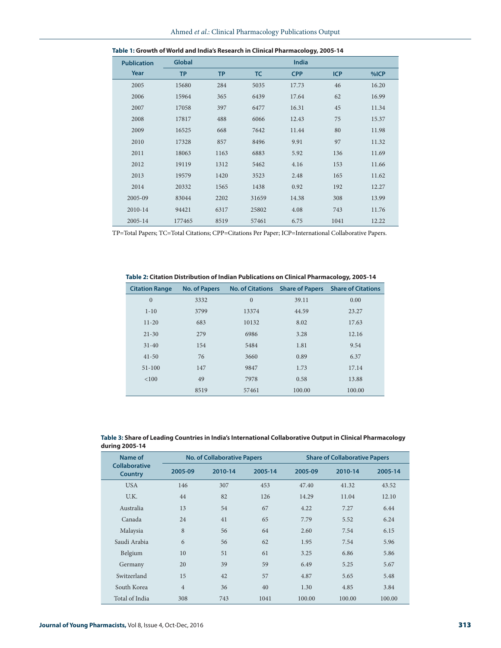| <b>Publication</b> | <b>Global</b> |           |           | India      |            |       |
|--------------------|---------------|-----------|-----------|------------|------------|-------|
| Year               | <b>TP</b>     | <b>TP</b> | <b>TC</b> | <b>CPP</b> | <b>ICP</b> | %ICP  |
| 2005               | 15680         | 284       | 5035      | 17.73      | 46         | 16.20 |
| 2006               | 15964         | 365       | 6439      | 17.64      | 62         | 16.99 |
| 2007               | 17058         | 397       | 6477      | 16.31      | 45         | 11.34 |
| 2008               | 17817         | 488       | 6066      | 12.43      | 75         | 15.37 |
| 2009               | 16525         | 668       | 7642      | 11.44      | 80         | 11.98 |
| 2010               | 17328         | 857       | 8496      | 9.91       | 97         | 11.32 |
| 2011               | 18063         | 1163      | 6883      | 5.92       | 136        | 11.69 |
| 2012               | 19119         | 1312      | 5462      | 4.16       | 153        | 11.66 |
| 2013               | 19579         | 1420      | 3523      | 2.48       | 165        | 11.62 |
| 2014               | 20332         | 1565      | 1438      | 0.92       | 192        | 12.27 |
| 2005-09            | 83044         | 2202      | 31659     | 14.38      | 308        | 13.99 |
| 2010-14            | 94421         | 6317      | 25802     | 4.08       | 743        | 11.76 |
| 2005-14            | 177465        | 8519      | 57461     | 6.75       | 1041       | 12.22 |

| Table 1: Growth of World and India's Research in Clinical Pharmacology, 2005-14 |  |
|---------------------------------------------------------------------------------|--|
|---------------------------------------------------------------------------------|--|

TP=Total Papers; TC=Total Citations; CPP=Citations Per Paper; ICP=International Collaborative Papers.

**Table 2: Citation Distribution of Indian Publications on Clinical Pharmacology, 2005-14**

| <b>Citation Range</b> | <b>No. of Papers</b> | <b>No. of Citations</b> | <b>Share of Papers</b> | <b>Share of Citations</b> |
|-----------------------|----------------------|-------------------------|------------------------|---------------------------|
| $\overline{0}$        | 3332                 | $\overline{0}$          | 39.11                  | 0.00                      |
| $1 - 10$              | 3799                 | 13374                   | 44.59                  | 23.27                     |
| $11 - 20$             | 683                  | 10132                   | 8.02                   | 17.63                     |
| $21 - 30$             | 279                  | 6986                    | 3.28                   | 12.16                     |
| $31 - 40$             | 154                  | 5484                    | 1.81                   | 9.54                      |
| $41 - 50$             | 76                   | 3660                    | 0.89                   | 6.37                      |
| $51 - 100$            | 147                  | 9847                    | 1.73                   | 17.14                     |
| < 100                 | 49                   | 7978                    | 0.58                   | 13.88                     |
|                       | 8519                 | 57461                   | 100.00                 | 100.00                    |

| Table 3: Share of Leading Countries in India's International Collaborative Output in Clinical Pharmacology |
|------------------------------------------------------------------------------------------------------------|
| during 2005-14                                                                                             |

| Name of                                |                | <b>No. of Collaborative Papers</b> |         |         | <b>Share of Collaborative Papers</b> |         |  |
|----------------------------------------|----------------|------------------------------------|---------|---------|--------------------------------------|---------|--|
| <b>Collaborative</b><br><b>Country</b> | 2005-09        | 2010-14                            | 2005-14 | 2005-09 | 2010-14                              | 2005-14 |  |
| <b>USA</b>                             | 146            | 307                                | 453     | 47.40   | 41.32                                | 43.52   |  |
| U.K.                                   | 44             | 82                                 | 126     | 14.29   | 11.04                                | 12.10   |  |
| Australia                              | 13             | 54                                 | 67      | 4.22    | 7.27                                 | 6.44    |  |
| Canada                                 | 24             | 41                                 | 65      | 7.79    | 5.52                                 | 6.24    |  |
| Malaysia                               | 8              | 56                                 | 64      | 2.60    | 7.54                                 | 6.15    |  |
| Saudi Arabia                           | 6              | 56                                 | 62      | 1.95    | 7.54                                 | 5.96    |  |
| Belgium                                | 10             | 51                                 | 61      | 3.25    | 6.86                                 | 5.86    |  |
| Germany                                | 20             | 39                                 | 59      | 6.49    | 5.25                                 | 5.67    |  |
| Switzerland                            | 15             | 42                                 | 57      | 4.87    | 5.65                                 | 5.48    |  |
| South Korea                            | $\overline{4}$ | 36                                 | 40      | 1.30    | 4.85                                 | 3.84    |  |
| Total of India                         | 308            | 743                                | 1041    | 100.00  | 100.00                               | 100.00  |  |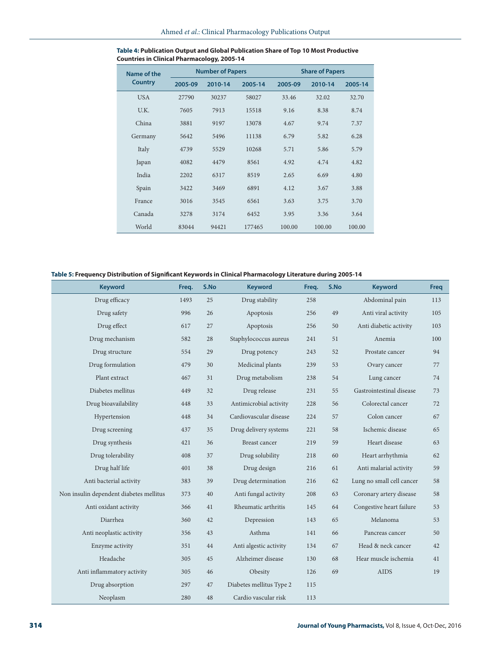| Name of the    |         | <b>Number of Papers</b> |         |         | <b>Share of Papers</b> |         |  |
|----------------|---------|-------------------------|---------|---------|------------------------|---------|--|
| <b>Country</b> | 2005-09 | 2010-14                 | 2005-14 | 2005-09 | 2010-14                | 2005-14 |  |
| <b>USA</b>     | 27790   | 30237                   | 58027   | 33.46   | 32.02                  | 32.70   |  |
| U.K.           | 7605    | 7913                    | 15518   | 9.16    | 8.38                   | 8.74    |  |
| China          | 3881    | 9197                    | 13078   | 4.67    | 9.74                   | 7.37    |  |
| Germany        | 5642    | 5496                    | 11138   | 6.79    | 5.82                   | 6.28    |  |
| Italy          | 4739    | 5529                    | 10268   | 5.71    | 5.86                   | 5.79    |  |
| Japan          | 4082    | 4479                    | 8561    | 4.92    | 4.74                   | 4.82    |  |
| India          | 2202    | 6317                    | 8519    | 2.65    | 6.69                   | 4.80    |  |
| Spain          | 3422    | 3469                    | 6891    | 4.12    | 3.67                   | 3.88    |  |
| France         | 3016    | 3545                    | 6561    | 3.63    | 3.75                   | 3.70    |  |
| Canada         | 3278    | 3174                    | 6452    | 3.95    | 3.36                   | 3.64    |  |
| World          | 83044   | 94421                   | 177465  | 100.00  | 100.00                 | 100.00  |  |

#### **Table 4: Publication Output and Global Publication Share of Top 10 Most Productive Countries in Clinical Pharmacology, 2005-14**

### **Table 5: Frequency Distribution of Significant Keywords in Clinical Pharmacology Literature during 2005-14**

| <b>Keyword</b>                          | Freq. | S.No | <b>Keyword</b>           | Freq. | S.No | <b>Keyword</b>            | Freq |
|-----------------------------------------|-------|------|--------------------------|-------|------|---------------------------|------|
| Drug efficacy                           | 1493  | 25   | Drug stability           | 258   |      | Abdominal pain            | 113  |
| Drug safety                             | 996   | 26   | Apoptosis                | 256   | 49   | Anti viral activity       | 105  |
| Drug effect                             | 617   | 27   | Apoptosis                | 256   | 50   | Anti diabetic activity    | 103  |
| Drug mechanism                          | 582   | 28   | Staphylococcus aureus    | 241   | 51   | Anemia                    | 100  |
| Drug structure                          | 554   | 29   | Drug potency             | 243   | 52   | Prostate cancer           | 94   |
| Drug formulation                        | 479   | 30   | Medicinal plants         | 239   | 53   | Ovary cancer              | 77   |
| Plant extract                           | 467   | 31   | Drug metabolism          | 238   | 54   | Lung cancer               | 74   |
| Diabetes mellitus                       | 449   | 32   | Drug release             | 231   | 55   | Gastrointestinal disease  | 73   |
| Drug bioavailability                    | 448   | 33   | Antimicrobial activity   | 228   | 56   | Colorectal cancer         | 72   |
| Hypertension                            | 448   | 34   | Cardiovascular disease   | 224   | 57   | Colon cancer              | 67   |
| Drug screening                          | 437   | 35   | Drug delivery systems    | 221   | 58   | Ischemic disease          | 65   |
| Drug synthesis                          | 421   | 36   | <b>Breast cancer</b>     | 219   | 59   | Heart disease             | 63   |
| Drug tolerability                       | 408   | 37   | Drug solubility          | 218   | 60   | Heart arrhythmia          | 62   |
| Drug half life                          | 401   | 38   | Drug design              | 216   | 61   | Anti malarial activity    | 59   |
| Anti bacterial activity                 | 383   | 39   | Drug determination       | 216   | 62   | Lung no small cell cancer | 58   |
| Non insulin dependent diabetes mellitus | 373   | 40   | Anti fungal activity     | 208   | 63   | Coronary artery disease   | 58   |
| Anti oxidant activity                   | 366   | 41   | Rheumatic arthritis      | 145   | 64   | Congestive heart failure  | 53   |
| Diarrhea                                | 360   | 42   | Depression               | 143   | 65   | Melanoma                  | 53   |
| Anti neoplastic activity                | 356   | 43   | Asthma                   | 141   | 66   | Pancreas cancer           | 50   |
| Enzyme activity                         | 351   | 44   | Anti algestic activity   | 134   | 67   | Head & neck cancer        | 42   |
| Headache                                | 305   | 45   | Alzheimer disease        | 130   | 68   | Hear muscle ischemia      | 41   |
| Anti inflammatory activity              | 305   | 46   | Obesity                  | 126   | 69   | <b>AIDS</b>               | 19   |
| Drug absorption                         | 297   | 47   | Diabetes mellitus Type 2 | 115   |      |                           |      |
| Neoplasm                                | 280   | 48   | Cardio vascular risk     | 113   |      |                           |      |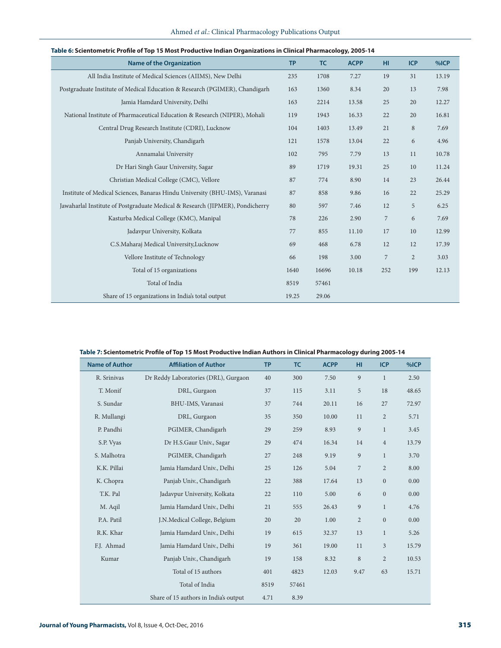| Table 6: Scientometric Profile of Top 15 Most Productive Indian Organizations in Clinical Pharmacology, 2005-14 |           |       |             |                |                |       |  |
|-----------------------------------------------------------------------------------------------------------------|-----------|-------|-------------|----------------|----------------|-------|--|
| <b>Name of the Organization</b>                                                                                 | <b>TP</b> | TC    | <b>ACPP</b> | <b>HI</b>      | <b>ICP</b>     | %ICP  |  |
| All India Institute of Medical Sciences (AIIMS), New Delhi                                                      | 235       | 1708  | 7.27        | 19             | 31             | 13.19 |  |
| Postgraduate Institute of Medical Education & Research (PGIMER), Chandigarh                                     | 163       | 1360  | 8.34        | 20             | 13             | 7.98  |  |
| Jamia Hamdard University, Delhi                                                                                 | 163       | 2214  | 13.58       | 25             | 20             | 12.27 |  |
| National Institute of Pharmaceutical Education & Research (NIPER), Mohali                                       | 119       | 1943  | 16.33       | 22             | 20             | 16.81 |  |
| Central Drug Research Institute (CDRI), Lucknow                                                                 | 104       | 1403  | 13.49       | 21             | 8              | 7.69  |  |
| Panjab University, Chandigarh                                                                                   | 121       | 1578  | 13.04       | 22             | 6              | 4.96  |  |
| Annamalai University                                                                                            | 102       | 795   | 7.79        | 13             | 11             | 10.78 |  |
| Dr Hari Singh Gaur University, Sagar                                                                            | 89        | 1719  | 19.31       | 25             | 10             | 11.24 |  |
| Christian Medical College (CMC), Vellore                                                                        | 87        | 774   | 8.90        | 14             | 23             | 26.44 |  |
| Institute of Medical Sciences, Banaras Hindu University (BHU-IMS), Varanasi                                     | 87        | 858   | 9.86        | 16             | 22             | 25.29 |  |
| Jawaharlal Institute of Postgraduate Medical & Research (JIPMER), Pondicherry                                   | 80        | 597   | 7.46        | 12             | 5              | 6.25  |  |
| Kasturba Medical College (KMC), Manipal                                                                         | 78        | 226   | 2.90        | $\overline{7}$ | 6              | 7.69  |  |
| Jadavpur University, Kolkata                                                                                    | 77        | 855   | 11.10       | 17             | 10             | 12.99 |  |
| C.S.Maharaj Medical University,Lucknow                                                                          | 69        | 468   | 6.78        | 12             | 12             | 17.39 |  |
| Vellore Institute of Technology                                                                                 | 66        | 198   | 3.00        | $\overline{7}$ | $\overline{2}$ | 3.03  |  |
| Total of 15 organizations                                                                                       | 1640      | 16696 | 10.18       | 252            | 199            | 12.13 |  |
| Total of India                                                                                                  | 8519      | 57461 |             |                |                |       |  |
| Share of 15 organizations in India's total output                                                               | 19.25     | 29.06 |             |                |                |       |  |

# Ahmed *et al*.: Clinical Pharmacology Publications Output

### **Table 7: Scientometric Profile of Top 15 Most Productive Indian Authors in Clinical Pharmacology during 2005-14**

| <b>Name of Author</b> | <b>Affiliation of Author</b>          | <b>TP</b> | <b>TC</b> | <b>ACPP</b> | HI.            | <b>ICP</b>       | %ICP  |
|-----------------------|---------------------------------------|-----------|-----------|-------------|----------------|------------------|-------|
| R. Srinivas           | Dr Reddy Laboratories (DRL), Gurgaon  | 40        | 300       | 7.50        | 9              | $\mathbf{1}$     | 2.50  |
| T. Monif              | DRL, Gurgaon                          | 37        | 115       | 3.11        | 5              | 18               | 48.65 |
| S. Sundar             | BHU-IMS, Varanasi                     | 37        | 744       | 20.11       | 16             | 27               | 72.97 |
| R. Mullangi           | DRL, Gurgaon                          | 35        | 350       | 10.00       | 11             | $\overline{2}$   | 5.71  |
| P. Pandhi             | PGIMER, Chandigarh                    | 29        | 259       | 8.93        | 9              | $\mathbf{1}$     | 3.45  |
| S.P. Vyas             | Dr H.S.Gaur Univ., Sagar              | 29        | 474       | 16.34       | 14             | $\overline{4}$   | 13.79 |
| S. Malhotra           | PGIMER, Chandigarh                    | 27        | 248       | 9.19        | 9              | $\mathbf{1}$     | 3.70  |
| K.K. Pillai           | Jamia Hamdard Univ., Delhi            | 25        | 126       | 5.04        | $\overline{7}$ | $\overline{2}$   | 8.00  |
| K. Chopra             | Panjab Univ., Chandigarh              | 22        | 388       | 17.64       | 13             | $\boldsymbol{0}$ | 0.00  |
| T.K. Pal              | Jadavpur University, Kolkata          | 22        | 110       | 5.00        | 6              | $\boldsymbol{0}$ | 0.00  |
| M. Aqil               | Jamia Hamdard Univ., Delhi            | 21        | 555       | 26.43       | 9              | $\mathbf{1}$     | 4.76  |
| P.A. Patil            | J.N.Medical College, Belgium          | 20        | 20        | 1.00        | $\overline{2}$ | $\boldsymbol{0}$ | 0.00  |
| R.K. Khar             | Jamia Hamdard Univ., Delhi            | 19        | 615       | 32.37       | 13             | $\mathbf{1}$     | 5.26  |
| F.J. Ahmad            | Jamia Hamdard Univ., Delhi            | 19        | 361       | 19.00       | 11             | 3                | 15.79 |
| Kumar                 | Panjab Univ., Chandigarh              | 19        | 158       | 8.32        | 8              | $\overline{2}$   | 10.53 |
|                       | Total of 15 authors                   | 401       | 4823      | 12.03       | 9.47           | 63               | 15.71 |
|                       | Total of India                        | 8519      | 57461     |             |                |                  |       |
|                       | Share of 15 authors in India's output | 4.71      | 8.39      |             |                |                  |       |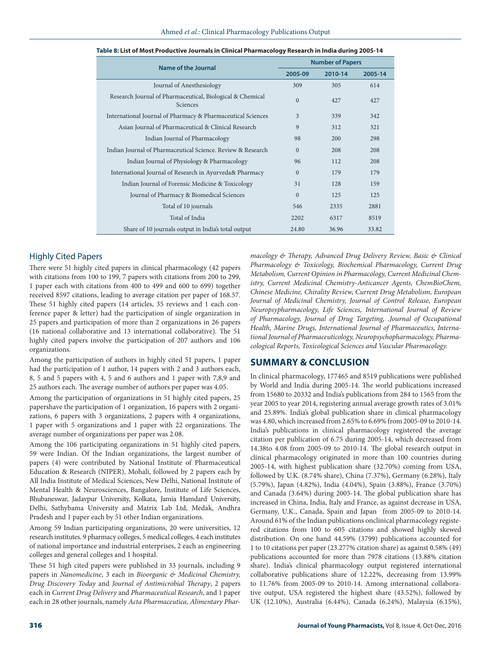| <b>Name of the Journal</b>                                            |          | <b>Number of Papers</b> |         |
|-----------------------------------------------------------------------|----------|-------------------------|---------|
|                                                                       | 2005-09  | 2010-14                 | 2005-14 |
| Journal of Anesthesiology                                             | 309      | 305                     | 614     |
| Research Journal of Pharmaceutical, Biological & Chemical<br>Sciences | $\Omega$ | 427                     | 427     |
| International Journal of Pharmacy & Pharmaceutical Sciences           | 3        | 339                     | 342     |
| Asian Journal of Pharmaceutical & Clinical Research                   | 9        | 312                     | 321     |
| Indian Journal of Pharmacology                                        | 98       | 200                     | 298     |
| Indian Journal of Pharmaceutical Science. Review & Research           | $\Omega$ | 208                     | 208     |
| Indian Journal of Physiology & Pharmacology                           | 96       | 112                     | 208     |
| International Journal of Research in Ayurveda& Pharmacy               | $\Omega$ | 179                     | 179     |
| Indian Journal of Forensic Medicine & Toxicology                      | 31       | 128                     | 159     |
| Journal of Pharmacy & Biomedical Sciences                             | $\Omega$ | 125                     | 125     |
| Total of 10 journals                                                  | 546      | 2335                    | 2881    |
| Total of India                                                        | 2202     | 6317                    | 8519    |
| Share of 10 journals output in India's total output                   | 24.80    | 36.96                   | 33.82   |

| Table 8: List of Most Productive Journals in Clinical Pharmacology Research in India during 2005-14 |  |  |
|-----------------------------------------------------------------------------------------------------|--|--|
|                                                                                                     |  |  |

#### Highly Cited Papers

There were 51 highly cited papers in clinical pharmacology (42 papers with citations from 100 to 199, 7 papers with citations from 200 to 299, 1 paper each with citations from 400 to 499 and 600 to 699) together received 8597 citations, leading to average citation per paper of 168.57. These 51 highly cited papers (14 articles, 35 reviews and 1 each conference paper & letter) had the participation of single organization in 25 papers and participation of more than 2 organizations in 26 papers (16 national collaborative and 13 international collaborative). The 51 highly cited papers involve the participation of 207 authors and 106 organizations.

Among the participation of authors in highly cited 51 papers, 1 paper had the participation of 1 author, 14 papers with 2 and 3 authors each, 8, 5 and 5 papers with 4, 5 and 6 authors and 1 paper with 7,8,9 and 25 authors each. The average number of authors per paper was 4.05.

Among the participation of organizations in 51 highly cited papers, 25 papershave the participation of 1 organization, 16 papers with 2 organizations, 6 papers with 3 organizations, 2 papers with 4 organizations, 1 paper with 5 organizations and 1 paper with 22 organizations. The average number of organizations per paper was 2.08.

Among the 106 participating organizations in 51 highly cited papers, 59 were Indian. Of the Indian organizations, the largest number of papers (4) were contributed by National Institute of Pharmaceutical Education & Research (NIPER), Mohali, followed by 2 papers each by All India Institute of Medical Sciences, New Delhi, National Institute of Mental Health & Neurosciences, Bangalore, Institute of Life Sciences, Bhubaneswar, Jadavpur University, Kolkata, Jamia Hamdard University, Delhi, Sathybama University and Matrix Lab Ltd, Medak, Andhra Pradesh and 1 paper each by 51 other Indian organizations.

Among 59 Indian participating organizations, 20 were universities, 12 research institutes. 9 pharmacy colleges, 5 medical colleges, 4 each institutes of national importance and industrial enterprises, 2 each as engineering colleges and general colleges and 1 hospital.

These 51 high cited papers were published in 33 journals, including 9 papers in *Nanomedicine*, 3 each in *Bioorganic & Medicinal Chemistry, Drug Discovery Today* and *Journal of Antimicrobial Therapy*, 2 papers each in *Current Drug Delivery* and *Pharmaceutical Research*, and 1 paper each in 28 other journals, namely *Acta Pharmaceutica, Alimentary Phar-* *macology & Therapy, Advanced Drug Delivery Review, Basic & Clinical Pharmacology & Toxicology, Biochemical Pharmacology, Current Drug Metabolism, Current Opinion in Pharmacology, Current Medicinal Chemistry, Current Medicinal Chemistry-Anticancer Agents, ChemBioChem, Chinese Medicine, Chirality Review, Current Drug Metabolism, European Journal of Medicinal Chemistry, Journal of Control Release, European Neuropsypharmacology, Life Sciences, International Journal of Review of Pharmacology, Journal of Drug Targeting, .Journal of Occupational Health, Marine Drugs, International Journal of Pharmaceutics, International Journal of Pharmaceuticology, Neuropsychopharmacology, Pharmacological Reports, Toxicological Sciences and Vascular Pharmacology.* 

#### **SUMMARY & CONCLUSION**

In clinical pharmacology, 177465 and 8519 publications were published by World and India during 2005-14. The world publications increased from 15680 to 20332 and India's publications from 284 to 1565 from the year 2005 to year 2014, registering annual average growth rates of 3.01% and 25.89%. India's global publication share in clinical pharmacology was 4.80, which increased from 2.65% to 6.69% from 2005-09 to 2010-14. India's publications in clinical pharmacology registered the average citation per publication of 6.75 during 2005-14, which decreased from 14.38to 4.08 from 2005-09 to 2010-14. The global research output in clinical pharmacology originated in more than 100 countries during 2005-14, with highest publication share (32.70%) coming from USA, followed by U.K. (8.74% share), China (7.37%), Germany (6.28%), Italy (5.79%), Japan (4.82%), India (4.04%), Spain (3.88%), France (3.70%) and Canada (3.64%) during 2005-14. The global publication share has increased in China, India, Italy and France, as against decrease in USA, Germany, U.K., Canada, Spain and Japan from 2005-09 to 2010-14. Around 61% of the Indian publications onclinical pharmacology registered citations from 100 to 605 citations and showed highly skewed distribution. On one hand 44.59% (3799) publications accounted for 1 to 10 citations per paper (23.277% citation share) as against 0.58% (49) publications accounted for more than 7978 citations (13.88% citation share). India's clinical pharmacology output registered international collaborative publications share of 12.22%, decreasing from 13.99% to 11.76% from 2005-09 to 2010-14. Among international collaborative output, USA registered the highest share (43.52%), followed by UK (12.10%), Australia (6.44%), Canada (6.24%), Malaysia (6.15%),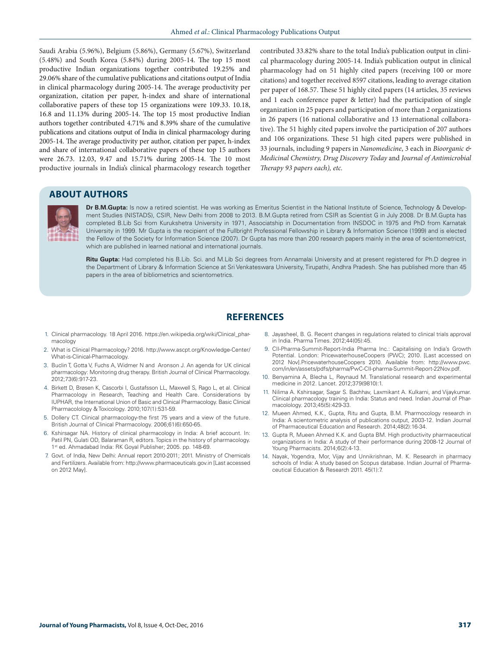Saudi Arabia (5.96%), Belgium (5.86%), Germany (5.67%), Switzerland (5.48%) and South Korea (5.84%) during 2005-14. The top 15 most productive Indian organizations together contributed 19.25% and 29.06% share of the cumulative publications and citations output of India in clinical pharmacology during 2005-14. The average productivity per organization, citation per paper, h-index and share of international collaborative papers of these top 15 organizations were 109.33. 10.18, 16.8 and 11.13% during 2005-14. The top 15 most productive Indian authors together contributed 4.71% and 8.39% share of the cumulative publications and citations output of India in clinical pharmacology during 2005-14. The average productivity per author, citation per paper, h-index and share of international collaborative papers of these top 15 authors were 26.73. 12.03, 9.47 and 15.71% during 2005-14. The 10 most productive journals in India's clinical pharmacology research together

contributed 33.82% share to the total India's publication output in clinical pharmacology during 2005-14. India's publication output in clinical pharmacology had on 51 highly cited papers (receiving 100 or more citations) and together received 8597 citations, leading to average citation per paper of 168.57. These 51 highly cited papers (14 articles, 35 reviews and 1 each conference paper & letter) had the participation of single organization in 25 papers and participation of more than 2 organizations in 26 papers (16 national collaborative and 13 international collaborative). The 51 highly cited papers involve the participation of 207 authors and 106 organizations. These 51 high cited papers were published in 33 journals, including 9 papers in *Nanomedicine*, 3 each in *Bioorganic & Medicinal Chemistry, Drug Discovery Today* and *Journal of Antimicrobial Therapy 93 papers each), etc.*

# **ABOUT AUTHORS**



**Dr B.M.Gupta:** Is now a retired scientist. He was working as Emeritus Scientist in the National Institute of Science, Technology & Development Studies (NISTADS), CSIR, New Delhi from 2008 to 2013. B.M.Gupta retired from CSIR as Scientist G in July 2008. Dr B.M.Gupta has completed B.Lib Sci from Kurukshetra University in 1971, Associatship in Documentation from INSDOC in 1975 and PhD from Karnatak University in 1999. Mr Gupta is the recipient of the Fullbright Professional Fellowship in Library & Information Science (1999) and is elected the Fellow of the Society for Information Science (2007). Dr Gupta has more than 200 research papers mainly in the area of scientometricst, which are published in learned national and international journals.

**Ritu Gupta:** Had completed his B.Lib. Sci. and M.Lib Sci degrees from Annamalai University and at present registered for Ph.D degree in the Department of Library & Information Science at Sri Venkateswara University, Tirupathi, Andhra Pradesh. She has published more than 45 papers in the area of bibliometrics and scientometrics.

# **REFERENCES**

- 1. Clinical pharmacology. 18 April 2016. https://en.wikipedia.org/wiki/Clinical\_pharmacology
- 2. What is Clinical Pharmacology? 2016. http://www.ascpt.org/Knowledge-Center/ What-is-Clinical-Pharmacology.
- 3. Buclin T, Gotta V, Fuchs A, Widmer N and Aronson J. An agenda for UK clinical pharmacology: Monitoring drug therapy. British Journal of Clinical Pharmacology. 2012;73(6):917-23.
- 4. Birkett D, Brøsen K, Cascorbi I, Gustafsson LL, Maxwell S, Rago L, et al. Clinical Pharmacology in Research, Teaching and Health Care. Considerations by IUPHAR, the International Union of Basic and Clinical Pharmacology. Basic Clinical Pharmacolology & Toxicology. 2010;107(1):531-59.
- 5. Dollery CT. Clinical pharmacology-the first 75 years and a view of the future. British Journal of Clinical Pharmacology. 2006;61(6):650-65.
- 6. Kshirsagar NA. History of clinical pharmacology in India: A brief account. In: Patil PN, Gulati OD, Balaraman R, editors. Topics in the history of pharmacology. 1st ed. Ahmadabad India: RK Goyal Publisher; 2005. pp. 148-69.
- 7. Govt. of India, New Delhi: Annual report 2010-2011; 2011. Ministry of Chemicals and Fertilizers. Available from: http://www.pharmaceuticals.gov.in [Last accessed on 2012 May].
- 8. Jayasheel, B. G. Recent changes in regulations related to clinical trials approval in India. Pharma Times. 2012;44(05):45.
- 9. CII-Pharma-Summit-Report-India Pharma Inc.: Capitalising on India's Growth Potential. London: PricewaterhouseCoopers (PWC); 2010. [Last accessed on 2012 Nov].PricewaterhouseCoopers 2010. Available from: http://www.pwc. com/in/en/assets/pdfs/pharma/PwC-CII-pharma-Summit-Report-22Nov.pdf.
- 10. Benyamina A, Blecha L, Reynaud M. Translational research and experimental medicine in 2012. Lancet. 2012;379(9810):1.
- 11. Nilima A. Kshirsagar, Sagar S. Bachhav, Laxmikant A. Kulkarni, and Vijaykumar. Clinical pharmacology training in India: Status and need. Indian Journal of Pharmacolology. 2013;45(5):429-33.
- 12. Mueen Ahmed, K.K., Gupta, Ritu and Gupta, B.M. Pharmocology research in India: A scientometric analysis of publications output, 2003-12. Indian Journal of Pharmaceutical Education and Research. 2014;48(2):16-34.
- 13. Gupta R, Mueen Ahmed K.K. and Gupta BM. High productivity pharmaceutical organizations in India: A study of their performance during 2008-12 Journal of Young Pharmacists. 2014;6(2):4-13.
- 14. Nayak, Yogendra, Mor, Vijay and Unnikrishnan, M. K. Research in pharmacy schools of India: A study based on Scopus database. Indian Journal of Pharmaceutical Education & Research 2011. 45(1):7.